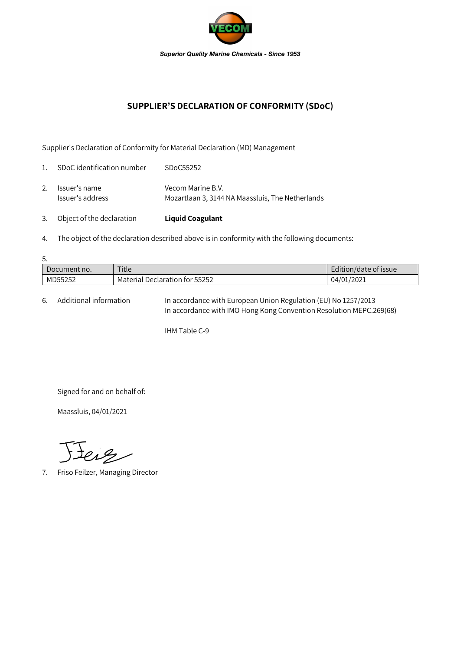

## **SUPPLIER'S DECLARATION OF CONFORMITY (SDoC)**

Supplier's Declaration of Conformity for Material Declaration (MD) Management

| 3.             | Object of the declaration         | <b>Liquid Coagulant</b>                                               |
|----------------|-----------------------------------|-----------------------------------------------------------------------|
| 2.             | Issuer's name<br>Issuer's address | Vecom Marine B.V.<br>Mozartlaan 3, 3144 NA Maassluis, The Netherlands |
| $\mathbf{1}$ . | SDoC identification number        | SDoC55252                                                             |

4. The object of the declaration described above is in conformity with the following documents:

| 5.           |                                |                       |  |  |  |  |
|--------------|--------------------------------|-----------------------|--|--|--|--|
| Document no. | Title                          | Edition/date of issue |  |  |  |  |
| MD55252      | Material Declaration for 55252 | 04/01/2021            |  |  |  |  |

6. Additional information In accordance with European Union Regulation (EU) No 1257/2013 In accordance with IMO Hong Kong Convention Resolution MEPC.269(68)

IHM Table C-9

Signed for and on behalf of:

Maassluis, 04/01/2021

Jeig

7. Friso Feilzer, Managing Director